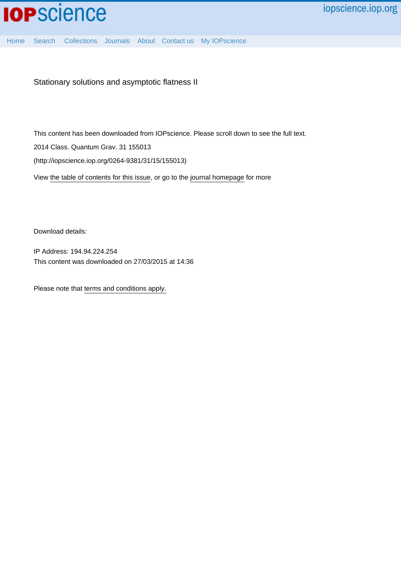

Stationary solutions and asymptotic flatness II

This content has been downloaded from IOPscience. Please scroll down to see the full text.

2014 Class. Quantum Grav. 31 155013

(http://iopscience.iop.org/0264-9381/31/15/155013)

View [the table of contents for this issue](http://iopscience.iop.org/0264-9381/31/15), or go to the [journal homepage](http://iopscience.iop.org/0264-9381) for more

Download details:

IP Address: 194.94.224.254 This content was downloaded on 27/03/2015 at 14:36

Please note that [terms and conditions apply.](iopscience.iop.org/page/terms)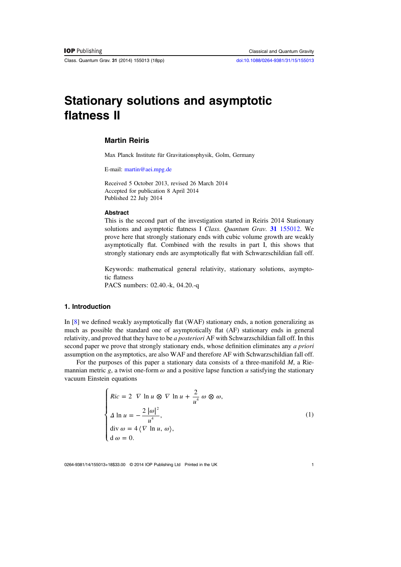<span id="page-1-0"></span>Class. Quantum Grav. 31 (2014) 155013 (18pp) [doi:10.1088/0264-9381/31/15/155013](http://dx.doi.org/10.1088/0264-9381/31/15/155013)

# Stationary solutions and asymptotic flatness II

# Martin Reiris

Max Planck Institute für Gravitationsphysik, Golm, Germany

E-mail: [martin@aei.mpg.de](mailto:martin@aei.mpg.de)

Received 5 October 2013, revised 26 March 2014 Accepted for publication 8 April 2014 Published 22 July 2014

#### Abstract

This is the second part of the investigation started in Reiris 2014 Stationary solutions and asymptotic flatness I Class. Quantum Grav. 31 [155012.](http://dx.doi.org/10.1088/0264-9381/31/15/155012) We prove here that strongly stationary ends with cubic volume growth are weakly asymptotically flat. Combined with the results in part I, this shows that strongly stationary ends are asymptotically flat with Schwarzschildian fall off.

Keywords: mathematical general relativity, stationary solutions, asymptotic flatness

PACS numbers: 02.40.-k, 04.20.-q

# 1. Introduction

In [[8\]](#page-18-0) we defined weakly asymptotically flat (WAF) stationary ends, a notion generalizing as much as possible the standard one of asymptotically flat (AF) stationary ends in general relativity, and proved that they have to be a posteriori AF with Schwarzschildian fall off. In this second paper we prove that strongly stationary ends, whose definition eliminates any *a priori* assumption on the asymptotics, are also WAF and therefore AF with Schwarzschildian fall off.

For the purposes of this paper a stationary data consists of a three-manifold M, a Riemannian metric g, a twist one-form  $\omega$  and a positive lapse function  $\mu$  satisfying the stationary vacuum Einstein equations

$$
\begin{cases}\nRic = 2 \quad \nabla \ln u \otimes \nabla \ln u + \frac{2}{u^4} \omega \otimes \omega, \\
\Delta \ln u = -\frac{2 |\omega|^2}{u^4}, \\
\operatorname{div} \omega = 4 \langle \nabla \ln u, \omega \rangle, \\
d \omega = 0.\n\end{cases}
$$
\n(1)

0264-9381/14/155013+18\$33.00 © 2014 IOP Publishing Ltd Printed in the UK 1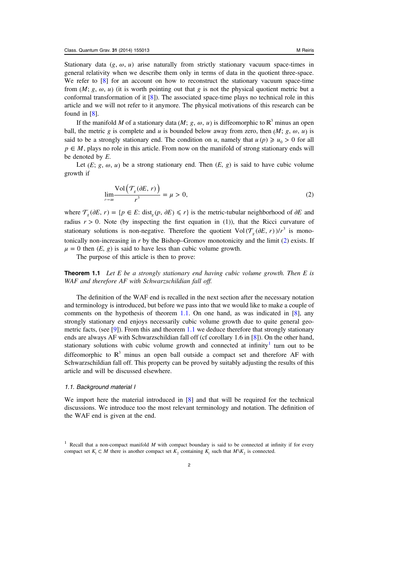Stationary data  $(g, \omega, u)$  arise naturally from strictly stationary vacuum space-times in general relativity when we describe them only in terms of data in the quotient three-space. We refer to  $\lceil 8 \rceil$  $\lceil 8 \rceil$  $\lceil 8 \rceil$  for an account on how to reconstruct the stationary vacuum space-time from  $(M; g, \omega, u)$  (it is worth pointing out that g is not the physical quotient metric but a conformal transformation of it  $[8]$  $[8]$ ). The associated space-time plays no technical role in this article and we will not refer to it anymore. The physical motivations of this research can be found in [\[8](#page-18-0)].

If the manifold M of a stationary data (M;  $g, \omega, u$ ) is diffeomorphic to  $\mathbb{R}^3$  minus an open ball, the metric g is complete and u is bounded below away from zero, then  $(M; g, \omega, u)$  is said to be a strongly stationary end. The condition on *u*, namely that  $u(p) \geq u_0 > 0$  for all  $p \in M$ , plays no role in this article. From now on the manifold of strong stationary ends will be denoted by E.

Let  $(E; g, \omega, u)$  be a strong stationary end. Then  $(E, g)$  is said to have cubic volume growth if

$$
\lim_{r \to \infty} \frac{\text{Vol}\left(\mathcal{T}_s(\partial E, r)\right)}{r^3} = \mu > 0,
$$
\n(2)

where  $\mathcal{T}_{\rho}(\partial E, r) = \{p \in E: \text{dist}_{\rho}(p, \partial E) \leq r\}$  is the metric-tubular neighborhood of  $\partial E$  and radius  $r > 0$ . Note (by inspecting the first equation in (1)), that the Ricci curvature of stationary solutions is non-negative. Therefore the quotient  $Vol(\mathcal{T}_{g}(\partial E, r))/r^3$  is monotonically non-increasing in  $r$  by the Bishop–Gromov monotonicity and the limit  $(2)$  exists. If  $\mu = 0$  then  $(E, g)$  is said to have less than cubic volume growth.

The purpose of this article is then to prove:

**Theorem 1.1** Let E be a strongly stationary end having cubic volume growth. Then E is WAF and therefore AF with Schwarzschildian fall off.

The definition of the WAF end is recalled in the next section after the necessary notation and terminology is introduced, but before we pass into that we would like to make a couple of comments on the hypothesis of theorem 1.1. On one hand, as was indicated in  $[8]$  $[8]$ , any strongly stationary end enjoys necessarily cubic volume growth due to quite general geo-metric facts, (see [\[9](#page-18-0)]). From this and theorem  $1.1$  we deduce therefore that strongly stationary ends are always AF with Schwarzschildian fall off (cf corollary 1.6 in [\[8](#page-18-0)]). On the other hand, stationary solutions with cubic volume growth and connected at infinity<sup>1</sup> turn out to be diffeomorphic to  $\mathbb{R}^3$  minus an open ball outside a compact set and therefore AF with Schwarzschildian fall off. This property can be proved by suitably adjusting the results of this article and will be discussed elsewhere.

## 1.1. Background material I

We import here the material introduced in [\[8](#page-18-0)] and that will be required for the technical discussions. We introduce too the most relevant terminology and notation. The definition of the WAF end is given at the end.

<sup>&</sup>lt;sup>1</sup> Recall that a non-compact manifold  $M$  with compact boundary is said to be connected at infinity if for every compact set  $K_1 \subset M$  there is another compact set  $K_2$  containing  $K_1$  such that  $M\backslash K_2$  is connected.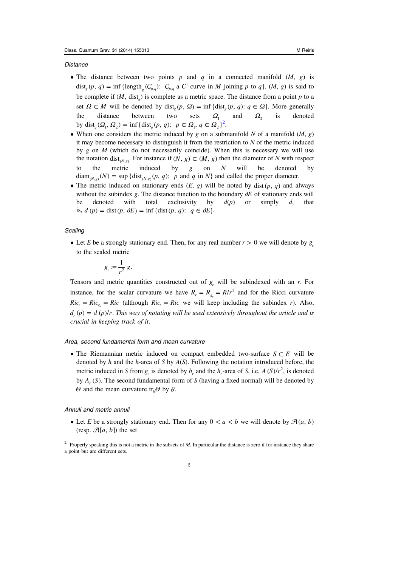## **Distance**

- The distance between two points p and q in a connected manifold  $(M, g)$  is dist<sub>g</sub>  $(p, q) = \inf \{ \text{length}_{g} (C_{p,q}) : C_{p,q} \text{ a } C^1 \text{ curve in } M \text{ joining } p \text{ to } q \}. (M, g) \text{ is said to}$ be complete if  $(M, dist)$  is complete as a metric space. The distance from a point  $p$  to a set  $\Omega \subset M$  will be denoted by dist<sub>*i*</sub></sub>(*p*,  $\Omega$ ) = inf {dist<sub>*i*</sub></sub>(*p*, *q*):  $q \in \Omega$ }. More generally the distance between two sets  $\Omega_1$  and  $\Omega_2$  is denoted by dist<sub>g</sub>  $(\Omega_1, \Omega_2) = \inf \{ \text{dist}_g(p, q): p \in \Omega_1, q \in \Omega_2 \}^2$ .
- When one considers the metric induced by g on a submanifold N of a manifold  $(M, g)$ it may become necessary to distinguish it from the restriction to  $N$  of the metric induced by  $g$  on  $M$  (which do not necessarily coincide). When this is necessary we will use the notation dist<sub>(*N,g*)</sub>. For instance if (*N, g*)  $\subset$  (*M, g*) then the diameter of *N* with respect to the metric induced by  $g$  on  $N$  will be denoted by  $\text{diam}_{(N,\varepsilon)}(N) = \sup \{ \text{dist}_{(N,\varepsilon)}(p, q): p \text{ and } q \text{ in } N \}$  and called the proper diameter.
- The metric induced on stationary ends  $(E, g)$  will be noted by dist  $(p, q)$  and always without the subindex g. The distance function to the boundary ∂*E* of stationary ends will be denoted with total exclusivity by  $d(p)$  or simply d, that is,  $d(p) = \text{dist}(p, \partial E) = \inf \{ \text{dist}(p, q): q \in \partial E \}.$

#### **Scaling**

• Let *E* be a strongly stationary end. Then, for any real number  $r > 0$  we will denote by  $g<sub>r</sub>$ to the scaled metric

$$
g_r := \frac{1}{r^2} g.
$$

Tensors and metric quantities constructed out of  $g_r$  will be subindexed with an r. For instance, for the scalar curvature we have  $R_r = R_{g_r} = R/r^2$  and for the Ricci curvature  $Ric_r = Ric_g = Ric$  (although  $Ric_r = Ric$  we will keep including the subindex r). Also,  $d_r(p) = d(p)/r$ . This way of notating will be used extensively throughout the article and is crucial in keeping track of it.

## Area, second fundamental form and mean curvature

• The Riemannian metric induced on compact embedded two-surface *S* ⊂ *E* will be denoted by h and the h-area of S by  $A(S)$ . Following the notation introduced before, the metric induced in S from  $g_r$  is denoted by  $h_r$  and the  $h_r$ -area of S, i.e.  $A(S)/r^2$ , is denoted by  $A_r(S)$ . The second fundamental form of S (having a fixed normal) will be denoted by *Θ* and the mean curvature tr<sub>*h*</sub> $\theta$ </sub> by *θ*.

### Annuli and metric annuli

• Let E be a strongly stationary end. Then for any  $0 < a < b$  we will denote by  $\mathcal{A}(a, b)$ (resp.  $\mathcal{A}[a, b]$ ) the set

<sup>&</sup>lt;sup>2</sup> Properly speaking this is not a metric in the subsets of  $M$ . In particular the distance is zero if for instance they share a point but are different sets.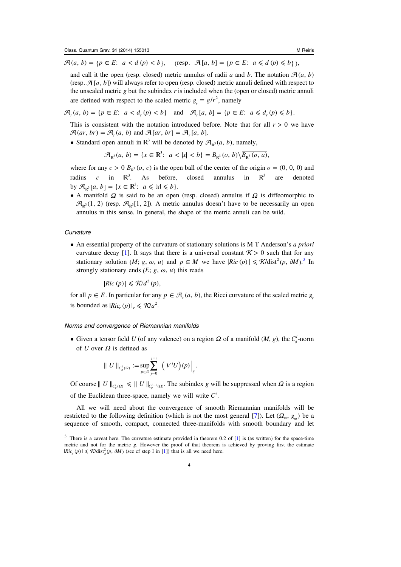$\mathcal{A}(a, b) = \{p \in E: a < d(p) < b\}, \text{ (resp. } \mathcal{A}[a, b] = \{p \in E: a \leq d(p) \leq b\}),\}$ 

and call it the open (resp. closed) metric annulus of radii a and b. The notation  $\mathcal{A}(a, b)$ (resp.  $\mathcal{A}[a, b]$ ) will always refer to open (resp. closed) metric annuli defined with respect to the unscaled metric g but the subindex  $r$  is included when the (open or closed) metric annuli are defined with respect to the scaled metric  $g_r = g/r^2$ , namely

 $\mathcal{A}_r(a, b) = \{ p \in E: a < d_r(p) < b \}$  and  $\mathcal{A}_r[a, b] = \{ p \in E: a \leq d_r(p) \leq b \}.$ 

This is consistent with the notation introduced before. Note that for all  $r > 0$  we have  $\mathcal{A}(ar, br) = \mathcal{A}_r(a, b)$  and  $\mathcal{A}[ar, br] = \mathcal{A}_r[a, b].$ 

• Standard open annuli in  $\mathbb{R}^3$  will be denoted by  $\mathcal{A}_{\mathbb{R}^3}(a, b)$ , namely,

$$
\mathcal{A}_{\mathbb{R}^3}(a, b) = \{x \in \mathbb{R}^3 : a < |x| < b\} = B_{\mathbb{R}^3}(o, b) \sqrt{B_{\mathbb{R}^3}(o, a)},
$$

where for any  $c > 0$   $B_{R^3}(o, c)$  is the open ball of the center of the origin  $o = (0, 0, 0)$  and radius c in  $\mathbb{R}^3$ . As before, closed annulus in  $\mathbb{R}^3$  are denoted by  $\mathcal{A}_{\mathbb{P}^3}[a, b] = \{x \in \mathbb{R}^3 : a \leq |x| \leq b\}.$ 

• A manifold *Ω* is said to be an open (resp. closed) annulus if *Ω* is diffeomorphic to  $\mathcal{A}_{\mathbb{R}^3}(1, 2)$  (resp.  $\mathcal{A}_{\mathbb{R}^3}[1, 2]$ ). A metric annulus doesn't have to be necessarily an open annulus in this sense. In general, the shape of the metric annuli can be wild.

## **Curvature**

• An essential property of the curvature of stationary solutions is M T Anderson's *a priori* curvature decay [\[1](#page-17-0)]. It says that there is a universal constant  $K > 0$  such that for any stationary solution (*M*; *g*,  $\omega$ , *u*) and  $p \in M$  we have  $|Ric(p)| \le \mathcal{K}/dist^2(p, \partial M)^3$ . In strongly stationary ends  $(E; g, \omega, u)$  this reads

 $|Ric(p)| \leq \mathcal{K}/d^2(p),$ 

for all  $p \in E$ . In particular for any  $p \in \mathcal{A}(a, b)$ , the Ricci curvature of the scaled metric *g* is bounded as  $|Ric_r(p)|_r \le \mathcal{K}/a^2$ .

## Norms and convergence of Riemannian manifolds

• Given a tensor field U (of any valence) on a region  $\Omega$  of a manifold (M, g), the  $C_g^i$ -norm of U over *Ω* is defined as

$$
\| U \|_{C^i_g(\Omega)} := \sup_{p \in \Omega} \sum_{j=0}^{j=i} \left| \left( \nabla^j U \right) (p) \right|_g.
$$

Of course  $||U||_{C_g^i(\Omega)} \le ||U||_{C_g^{i+1}(\Omega)}$ . The subindex g will be suppressed when  $\Omega$  is a region of the Euclidean three-space, namely we will write  $C^i$ .

All we will need about the convergence of smooth Riemannian manifolds will be restricted to the following definition (which is not the most general [\[7](#page-17-0)]). Let  $(\Omega_m, g_m)$  be a sequence of smooth, compact, connected three-manifolds with smooth boundary and let

<sup>&</sup>lt;sup>3</sup> There is a caveat here. The curvature estimate provided in theorem 0.2 of [[1\]](#page-17-0) is (as written) for the space-time metric and not for the metric g. However the proof of that theorem is achieved by proving first the estimate  $|Ric_{g}(p)| \leq \mathcal{K}/\text{dist}_{g}^{2}(p, dM)$  (see cf step I in [[1\]](#page-17-0)) that is all we need here.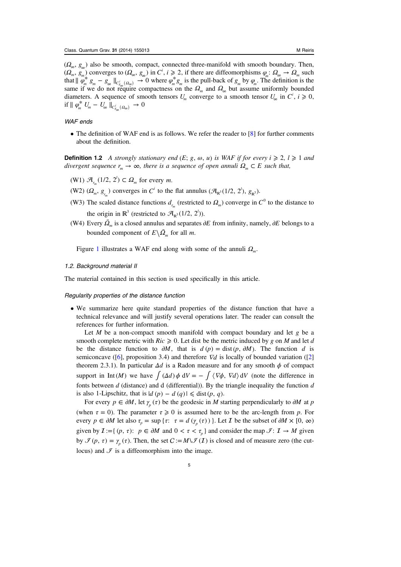<span id="page-5-0"></span> $(Q_{\infty}, g_{\infty})$  also be smooth, compact, connected three-manifold with smooth boundary. Then,  $(\Omega_m, g_m)$  converges to  $(\Omega_\infty, g_\infty)$  in  $C^i$ ,  $i \geq 2$ , if there are diffeomorphisms  $\varphi_m : \Omega_\infty \to \Omega_m$  such that  $\|\varphi_m^* g_m - g_\infty\|_{C_{g_\infty}^i(\Omega_\infty)} \to 0$  where  $\varphi_m^* g_m$  is the pull-back of  $g_m$  by  $\varphi_m$ . The definition is the same if we do not require compactness on the  $\Omega_m$  and  $\Omega_\infty$  but assume uniformly bounded diameters. A sequence of smooth tensors  $U_m$  converge to a smooth tensor  $U_\infty$  in  $C^i$ ,  $i \ge 0$ , if  $\parallel \varphi_m^* U_m - U_\infty \parallel_{C^i_\varphi}$  ( $\varphi_\infty$ ) → 0

# WAF ends

• The definition of WAF end is as follows. We refer the reader to [[8](#page-18-0)] for further comments about the definition.

**Definition 1.2** A strongly stationary end  $(E; g, \omega, u)$  is WAF if for every  $i \ge 2$ ,  $l \ge 1$  and divergent sequence  $r_m \to \infty$ , there is a sequence of open annuli  $\Omega_m \subset E$  such that,

- $(W1)$   $\mathcal{A}_{r_m}(1/2, 2^l) \subset \Omega_m$  for every *m*.
- (W2)  $(Q_m, g_m)$  converges in  $C^i$  to the flat annulus  $(\mathcal{A}_{\mathbb{R}^3}(1/2, 2^i), g_{\mathbb{R}^3})$ .
- (W3) The scaled distance functions  $d_{r_m}$  (restricted to  $\Omega_m$ ) converge in  $C^0$  to the distance to the origin in  $\mathbb{R}^3$  (restricted to  $\mathcal{A}_{\mathbb{R}^3}(1/2, 2^l)$ ).
- (W4) Every  $\overline{\Omega}_m$  is a closed annulus and separates  $\partial E$  from infinity, namely,  $\partial E$  belongs to a bounded component of  $E \setminus \overline{\Omega}_m$  for all *m*.

Figure [1](#page-6-0) illustrates a WAF end along with some of the annuli *Ωm*.

#### 1.2. Background material II

The material contained in this section is used specifically in this article.

#### Regularity properties of the distance function

• We summarize here quite standard properties of the distance function that have a technical relevance and will justify several operations later. The reader can consult the references for further information.

Let  $M$  be a non-compact smooth manifold with compact boundary and let  $g$  be a smooth complete metric with  $Ric \geq 0$ . Let dist be the metric induced by g on M and let d be the distance function to  $\partial M$ , that is  $d(p) = \text{dist}(p, \partial M)$ . The function d is semiconcave ([[6\]](#page-17-0), proposition 3.4) and therefore  $\nabla d$  is locally of bounded variation ([\[2](#page-17-0)] theorem 2.3.1). In particular  $\Delta d$  is a Radon measure and for any smooth  $\phi$  of compact support in Int (M) we have  $\int (\Delta d) \phi \ dV = - \int (\nabla \phi, \nabla d) \ dV$  (note the difference in fonts between  $d$  (distance) and  $d$  (differential)). By the triangle inequality the function  $d$ is also 1-Lipschitz, that is  $|d(p) - d(q)| \leq d$  ist  $(p, q)$ .

For every  $p \in \partial M$ , let  $\gamma_n(\tau)$  be the geodesic in M starting perpendicularly to  $\partial M$  at p (when  $\tau = 0$ ). The parameter  $\tau \ge 0$  is assumed here to be the arc-length from p. For every  $p \in \partial M$  let also  $\tau_p = \sup \{ \tau : \tau = d(\gamma_p(\tau)) \}$ . Let  $\mathcal I$  be the subset of  $\partial M \times [0, \infty)$ given by  $\mathcal{I} := \{ (p, \tau) : p \in \partial M \text{ and } 0 < \tau < \tau_p \}$  and consider the map  $\mathcal{I} : \mathcal{I} \to M$  given by  $\mathcal{I}(p, \tau) = \gamma_n(\tau)$ . Then, the set  $C := M \setminus \mathcal{I}(1)$  is closed and of measure zero (the cutlocus) and  $\mathcal F$  is a diffeomorphism into the image.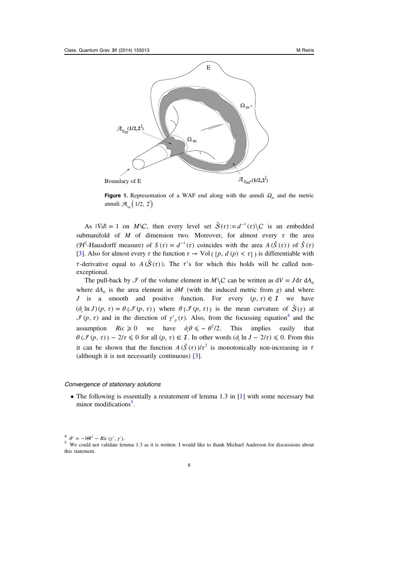<span id="page-6-0"></span>

Figure 1. Representation of a WAF end along with the annuli  $\Omega_{m}$  and the metric annuli  $\mathcal{A}_{r_m}(\left\lfloor 1/2, \left. 2^l \right\rceil \right)$ 

As  $|\nabla d| = 1$  on *M*\C, then every level set  $\hat{S}(\tau) := d^{-1}(\tau) \setminus C$  is an embedded submanifold of M of dimension two. Moreover, for almost every  $\tau$  the area (*H*<sup>2</sup>-Hausdorff measure) of  $S(\tau) = d^{-1}(\tau)$  coincides with the area  $A(\hat{S}(\tau))$  of  $\hat{S}(\tau)$ [[3\]](#page-17-0). Also for almost every  $\tau$  the function  $\tau \to \text{Vol}(\{p, d(p) < \tau\})$  is differentiable with *τ*-derivative equal to  $A(S(\tau))$ . The *τ*'s for which this holds will be called nonexceptional.

The pull-back by  $\mathcal F$  of the volume element in  $M \setminus C$  can be written as  $dV = J d\tau dA_0$ where  $dA_0$  is the area element in  $\partial M$  (with the induced metric from g) and where J is a smooth and positive function. For every  $(p, \tau) \in \mathcal{I}$  we have  $(\partial_{\tau} \ln J)(p, \tau) = \theta (\mathcal{I}(p, \tau))$  where  $\theta (\mathcal{I}(p, \tau))$  is the mean curvature of  $\hat{S}(\tau)$  at  $\mathcal{I}(p, \tau)$  and in the direction of  $\gamma_p'(\tau)$ . Also, from the focussing equation<sup>4</sup> and the assumption  $Ric \ge 0$  we have  $\partial_z \theta \le -\theta^2/2$ . This implies easily that  $\theta(\mathcal{I}(p, \tau)) - 2/\tau \leq 0$  for all  $(p, \tau) \in \mathcal{I}$ . In other words  $(\partial_{\tau} \ln J - 2/\tau) \leq 0$ . From this it can be shown that the function  $A(\hat{S}(\tau))/\tau^2$  is monotonically non-increasing in  $\tau$ (although it is not necessarily continuous) [\[3](#page-17-0)].

### Convergence of stationary solutions

• The following is essentially a restatement of lemma 1.3 in [[1\]](#page-17-0) with some necessary but minor modifications<sup>5</sup>.

 $\frac{4}{5}$   $\theta' = -|\theta|^2 - Ric(\gamma', \gamma')$ .<br>
S We could not validate lemma 1.3 as it is written. I would like to thank Michael Anderson for discussions about this statement.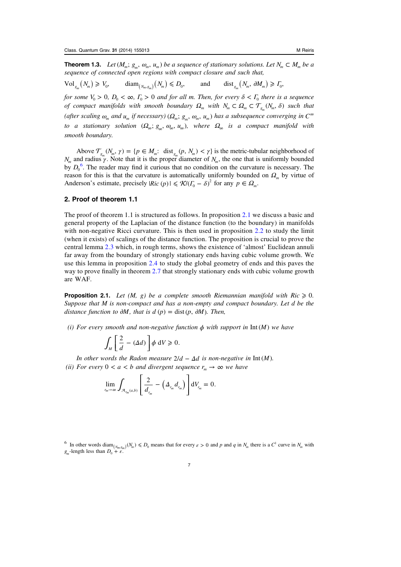<span id="page-7-0"></span>**Theorem 1.3.** Let  $(M_m; g_m, \omega_m, u_m)$  be a sequence of stationary solutions. Let  $N_m \subset M_m$  be a sequence of connected open regions with compact closure and such that,

 $\text{Vol}_{g_m}(N_m) \geq V_0, \quad \text{diam}_{(N_m,g_m)}(N_m) \leq D_0, \quad \text{and} \quad \text{dist}_{g_m}(N_m, \partial M_m) \geq I_0,$ 

for some  $V_0 > 0$ ,  $D_0 < \infty$ ,  $\Gamma_0 > 0$  and for all m. Then, for every  $\delta < \Gamma_0$  there is a sequence of compact manifolds with smooth boundary  $\Omega_m$  with  $N_m \subset \Omega_m \subset \mathcal{T}_{g_m}(N_m, \delta)$  such that (after scaling  $\omega_m$  and  $u_m$  if necessary)  $(\Omega_m; g_m, \omega_m, u_m)$  has a subsequence converging in  $C^\infty$ to a stationary solution  $(Q_{\infty}; g_{\infty}, \omega_{\infty}, u_{\infty})$ , where  $\Omega_{\infty}$  is a compact manifold with smooth boundary.

Above  $\mathcal{T}_{g}(N_m, \gamma) = \{p \in M_m: \text{ dist}_{g}(p, N_m) < \gamma\}$  is the metric-tubular neighborhood of *N<sub>m</sub>* and radius γ. Note that it is the proper diameter of *N<sub>m</sub>*, the one that is uniformly bounded by  $D_0^6$ . The reader may find it curious that no condition on the curvature is necessary. The reason for this is that the curvature is automatically uniformly bounded on  $\Omega_m$  by virtue of Anderson's estimate, precisely  $|Ric(p)| \leq \mathcal{R}/(\Gamma_0 - \delta)^2$  for any  $p \in \Omega_m$ .

# 2. Proof of theorem 1.1

The proof of theorem 1.1 is structured as follows. In proposition 2.1 we discuss a basic and general property of the Laplacian of the distance function (to the boundary) in manifolds with non-negative Ricci curvature. This is then used in proposition [2.2](#page-8-0) to study the limit (when it exists) of scalings of the distance function. The proposition is crucial to prove the central lemma [2.3](#page-10-0) which, in rough terms, shows the existence of 'almost' Euclidean annuli far away from the boundary of strongly stationary ends having cubic volume growth. We use this lemma in proposition [2.4](#page-13-0) to study the global geometry of ends and this paves the way to prove finally in theorem [2.7](#page-16-0) that strongly stationary ends with cubic volume growth are WAF.

**Proposition 2.1.** Let  $(M, g)$  be a complete smooth Riemannian manifold with  $Ric \geq 0$ . Suppose that M is non-compact and has a non-empty and compact boundary. Let d be the distance function to  $\partial M$ , that is  $d(p) = \text{dist}(p, \partial M)$ . Then,

(i) For every smooth and non-negative function  $\phi$  with support in Int(M) we have

$$
\int_M \left[ \frac{2}{d} - (\Delta d) \right] \phi \, \mathrm{d}V \geqslant 0.
$$

In other words the Radon measure  $2/d - \Delta d$  is non-negative in Int (M). (ii) For every  $0 < a < b$  and divergent sequence  $r_m \to \infty$  we have

$$
\lim_{r_m\to\infty}\int_{\mathcal{A}_{r_m}(a,b)}\left[\frac{2}{d_{r_m}}-\left(\Delta_{r_m}d_{r_m}\right)\right]dV_{r_m}=0.
$$

<sup>&</sup>lt;sup>6</sup> In other words  $\text{diam}_{N_m, g_m}(N_m) \leq D_0$  means that for every  $\varepsilon > 0$  and p and q in  $N_m$  there is a  $C^1$  curve in  $N_m$  with *g<sub>m</sub>*-length less than  $D_0 + \varepsilon$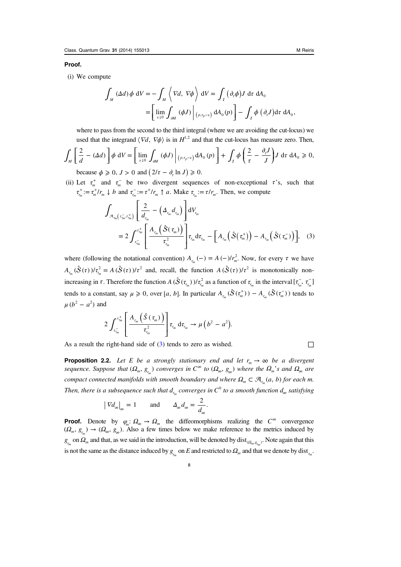#### <span id="page-8-0"></span>Proof.

(i) We compute

$$
\int_{M} (\Delta d) \phi \ dV = -\int_{M} \left\langle \nabla d, \nabla \phi \right\rangle dV = \int_{I} (\partial_{\tau} \phi) J \ d\tau \ dA_{0}
$$

$$
= \left[ \lim_{\nu \downarrow 0} \int_{\partial M} (\phi J) \Big|_{(p, \tau_{p} - \nu)} dA_{0}(p) \right] - \int_{I} \phi (\partial_{\tau} J) d\tau \ dA_{0},
$$

where to pass from the second to the third integral (where we are avoiding the cut-locus) we used that the integrand  $\langle \nabla d, \nabla \phi \rangle$  is in  $H^{1,2}$  and that the cut-locus has measure zero. Then,

$$
\int_M \left[ \frac{2}{d} - (\Delta d) \right] \phi \ dV = \left[ \lim_{\nu \downarrow 0} \int_{\partial M} (\phi J) \Big|_{(\rho, \tau_p - \nu)} dA_0(p) \right] + \int_I \phi \left( \frac{2}{\tau} - \frac{\partial_r J}{J} \right) J \ d\tau \ dA_0 \ge 0,
$$

because  $\phi \geq 0$ ,  $J > 0$  and  $(2/\tau - \partial_{\tau} \ln J) \geq 0$ .

(ii) Let  $\tau_m^+$  and  $\tau_m^-$  be two divergent sequences of non-exceptional  $\tau$ 's, such that  $\tau_{r_m}^+ := \tau_m^+ / r_m \downarrow b$  and  $\tau_{r_m}^- := \tau^+ / r_m \uparrow a$ . Make  $\tau_{r_m} := \tau / r_m$ . Then, we compute

$$
\int_{\mathcal{A}_{r_m}(\tau_m^-, \tau_m^+)} \left[ \frac{2}{d_{r_m}} - \left( \Delta_{r_m} d_{r_m} \right) \right] dV_{r_m}
$$
\n
$$
= 2 \int_{\tau_m^-}^{\tau_m^+} \left[ \frac{A_{r_m} \left( \hat{S}(\tau_m) \right)}{\tau_{r_m^2}^2} \right] \tau_{r_m} d\tau_{r_m} - \left[ A_{r_m} \left( \hat{S}(\tau_m^+) \right) - A_{r_m} \left( \hat{S}(\tau_m^-) \right) \right], \quad (3)
$$

where (following the notational convention)  $A_{r_m}(-) = A(-)/r_m^2$ . Now, for every  $\tau$  we have  $A_{r_m}(\hat{S}(\tau))/\tau_{r_m}^2 = A(\hat{S}(\tau))/\tau^2$  and, recall, the function  $A(\hat{S}(\tau))/\tau^2$  is monotonically nonincreasing in  $\tau$ . Therefore the function  $A(\hat{S}(\tau_{r_m}))/\tau_{r_m}^2$  as a function of  $\tau_{r_m}$  in the interval  $[\tau_{r_m}^-, \tau_{r_m}^-]$ tends to a constant, say  $\mu \geq 0$ , over [a, b]. In particular  $A_{r_{n}}(\hat{S}(\tau_{m}^{+})) - A_{r_{n}}(\hat{S}(\tau_{m}^{-}))$  tends to  $\mu$  ( $b^2 - a^2$ ) and

$$
2\int_{\tau_{r_m}^-}^{\tau_{r_m}^+} \left[ \frac{A_{r_m}\left(\hat{S}(\tau_m)\right)}{\tau_{r_m}^2} \right] \tau_{r_m} d\tau_{r_m} \to \mu\left(b^2 - a^2\right).
$$

As a result the right-hand side of (3) tends to zero as wished.  $\Box$ 

**Proposition 2.2.** Let E be a strongly stationary end and let  $r_m \to \infty$  be a divergent  $sequence.$  *Suppose that*  $(\Omega_m, g_{r_m})$  *converges in*  $C^{\infty}$  *to*  $(\Omega_{\infty}, g_{\infty})$  *where the*  $\Omega_m$ <sup>*s*</sup> *s and*  $\Omega_{\infty}$  *are* compact connected manifolds with smooth boundary and where  $\Omega_m \subset \mathcal{A}_{r_m}(a, b)$  for each m. Then, there is a subsequence such that  $d_{r_m}$  converges in  $C^0$  to a smooth function  $d_{\infty}$  satisfying

$$
|\nabla d_{\infty}|_{\infty} = 1 \quad \text{and} \quad \Delta_{\infty} d_{\infty} = \frac{2}{d_{\infty}}.
$$

**Proof.** Denote by  $\varphi_m: \Omega_\infty \to \Omega_m$  the diffeomorphisms realizing the  $C^\infty$  convergence  $(\Omega_m, g_{r_m}) \to (\Omega_\infty, g_{\infty})$ . Also a few times below we make reference to the metrics induced by  $g_{r_m}$  on  $\Omega_m$  and that, as we said in the introduction, will be denoted by  $dist_{(\Omega_m, g_{r_m})}$ . Note again that this is not the same as the distance induced by  $g_{r_m}$  on E and restricted to  $\Omega_m$  and that we denote by dist<sub>rm</sub>.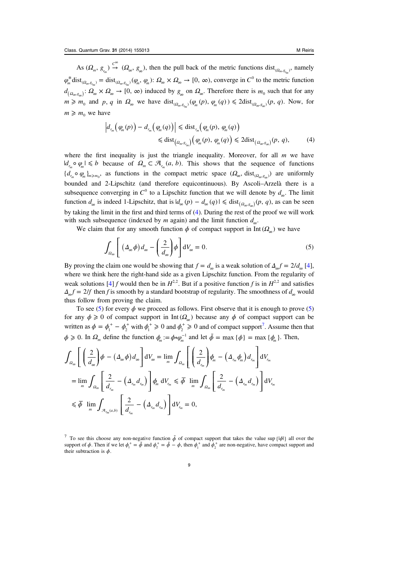As  $(\Omega_m, g_{r_m}) \stackrel{C^{\infty}}{\rightarrow} (\Omega_{\infty}, g_{\infty})$  $\mu_m$   $\rightarrow$   $(\Omega_\infty, g_\infty)$ , then the pull back of the metric functions  $dist_{(\Omega_m, g_m)}$ , namely  $\varphi_m^*$  dist $_{(\Omega_m, g_{r_m})} =$  dist $_{(\Omega_m, g_{r_m})} (\varphi_m, \varphi_m)$ :  $\Omega_\infty \times \Omega_\infty \to [0, \infty)$ , converge in  $C^0$  to the metric function  $d_{(\Omega_{\text{max}})}$ :  $\Omega_{\infty} \times \Omega_{\infty} \to [0, \infty)$  induced by  $g_{\infty}$  on  $\Omega_{\infty}$ . Therefore there is  $m_0$  such that for any  $m \geq m_0$  and p, q in  $\Omega_{\infty}$  we have  $dist_{(\Omega_m, g_{r_m})}(\varphi_m(p), \varphi_m(q)) \leq 2dist_{(\Omega_{\infty}, g_{\infty})}(p, q)$ . Now, for  $m \geq m_0$  we have

$$
\left| d_{r_m}\left(\varphi_m(p)\right) - d_{r_m}\left(\varphi_m(q)\right) \right| \le \text{dist}_{r_m}\left(\varphi_m(p), \varphi_m(q)\right)
$$
  

$$
\le \text{dist}_{\left(\Omega_m, g_{r_m}\right)}\left(\varphi_m(p), \varphi_m(q)\right) \le 2\text{dist}_{\left(\Omega_\infty, g_{\infty}\right)}(p, q), \tag{4}
$$

where the first inequality is just the triangle inequality. Moreover, for all  $m$  we have  $|d_{r_m} ∘ \varphi_m|$  ≤ *b* because of  $\Omega_m$  ⊂  $\mathcal{A}_{r_m}(a, b)$ . This shows that the sequence of functions  $\{d_{r_m} \circ \varphi_m\}_{m \ge m_0}$ , as functions in the compact metric space  $(\Omega_\infty, \text{dist}_{(\Omega_\infty, g_\infty)})$  are uniformly bounded and 2-Lipschitz (and therefore equicontinuous). By Ascoli–Arzelà there is a subsequence converging in  $C^0$  to a Lipschitz function that we will denote by  $d_{\infty}$ . The limit function  $d_{\infty}$  is indeed 1-Lipschitz, that is  $|d_{\infty}(p) - d_{\infty}(q)| \leq \text{dist}_{(Q_{\infty},g_{\infty})}(p, q)$ , as can be seen by taking the limit in the first and third terms of (4). During the rest of the proof we will work with such subsequence (indexed by *m* again) and the limit function  $d_{\infty}$ .

We claim that for any smooth function  $\phi$  of compact support in Int ( $\Omega_{\infty}$ ) we have

$$
\int_{\Omega_{\infty}} \left[ \left( \Delta_{\infty} \phi \right) d_{\infty} - \left( \frac{2}{d_{\infty}} \right) \phi \right] dV_{\infty} = 0. \tag{5}
$$

By proving the claim one would be showing that  $f = d_{\infty}$  is a weak solution of  $\Delta_{\infty} f = 2/d_{\infty} [4]$  $\Delta_{\infty} f = 2/d_{\infty} [4]$ , where we think here the right-hand side as a given Lipschitz function. From the regularity of weak solutions [\[4](#page-17-0)] f would then be in  $H^{2,2}$ . But if a positive function f is in  $H^{2,2}$  and satisfies  $\Delta_{\infty} f = 2/f$  then *f* is smooth by a standard bootstrap of regularity. The smoothness of  $d_{\infty}$  would thus follow from proving the claim.

To see (5) for every  $\phi$  we proceed as follows. First observe that it is enough to prove (5) for any  $\phi \ge 0$  of compact support in Int( $\Omega_{\infty}$ ) because any  $\phi$  of compact support can be written as  $\phi = \phi_1^+ - \phi_2^+$  with  $\phi_1^+ \ge 0$  and  $\phi_2^+ \ge 0$  and of compact support<sup>7</sup>. Assume then that  $\phi \geq 0$ . In  $\Omega_m$  define the function  $\phi_m := \phi \circ \phi_m^{-1}$  and let  $\bar{\phi} = \max {\{\phi\}} = \max {\{\phi_m\}}$ . Then,

$$
\int_{\Omega_{\infty}} \left[ \left( \frac{2}{d_{\infty}} \right) \phi - (\Delta_{\infty} \phi) d_{\infty} \right] dV_{\infty} = \lim_{m} \int_{\Omega_{m}} \left[ \left( \frac{2}{d_{r_{m}}} \right) \phi_{m} - (\Delta_{r_{m}} \phi_{m}) d_{r_{m}} \right] dV_{r_{m}}
$$
\n
$$
= \lim_{m} \int_{\Omega_{m}} \left[ \frac{2}{d_{r_{m}}} - (\Delta_{r_{m}} d_{r_{m}}) \right] \phi_{m} dV_{r_{m}} \leq \overline{\phi} \lim_{m} \int_{\Omega_{m}} \left[ \frac{2}{d_{r_{m}}} - (\Delta_{r_{m}} d_{r_{m}}) \right] dV_{r_{m}}
$$
\n
$$
\leq \overline{\phi} \lim_{m} \int_{\mathcal{A}_{r_{m}}(a,b)} \left[ \frac{2}{d_{r_{m}}} - (\Delta_{r_{m}} d_{r_{m}}) \right] dV_{r_{m}} = 0,
$$

<sup>&</sup>lt;sup>7</sup> To see this choose any non-negative function  $\tilde{\phi}$  of compact support that takes the value sup  $\{|\phi|\}$  all over the support of  $\phi$ . Then if we let  $\phi_1^+ = \tilde{\phi}$  and  $\phi_2^+ = \tilde{\phi} - \phi$ , then  $\phi_1^+$  and  $\phi_2^+$  are non-negative, have compact support and their subtraction is *ϕ*.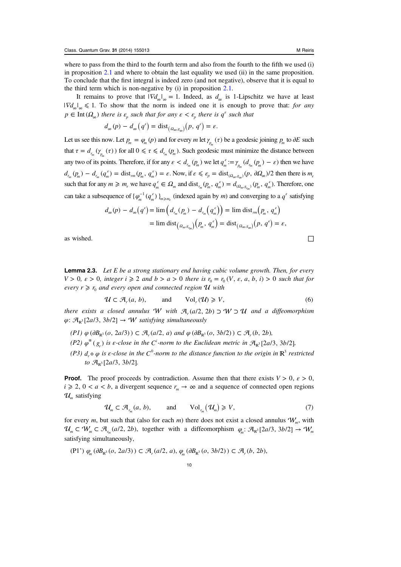<span id="page-10-0"></span>where to pass from the third to the fourth term and also from the fourth to the fifth we used (i) in proposition [2.1](#page-7-0) and where to obtain the last equality we used (ii) in the same proposition. To conclude that the first integral is indeed zero (and not negative), observe that it is equal to the third term which is non-negative by (i) in proposition [2.1.](#page-7-0)

It remains to prove that  $|\nabla d_{\infty}|_{\infty} = 1$ . Indeed, as  $d_{\infty}$  is 1-Lipschitz we have at least  $|\nabla d_{\infty}|_{\infty} \leq 1$ . To show that the norm is indeed one it is enough to prove that: for any  $p \in \text{Int}(\Omega_{\infty})$  there is  $\varepsilon_{p}$  such that for any  $\varepsilon < \varepsilon_{p}$  there is  $q^{\varepsilon}$  such that

$$
d_{\infty}(p) - d_{\infty}(q^{\varepsilon}) = \text{dist}_{(a_{\infty},g_{\infty})}(p, q^{\varepsilon}) = \varepsilon.
$$

Let us see this now. Let  $p_m = \varphi_m(p)$  and for every *m* let  $\gamma_{p_m}(\tau)$  be a geodesic joining  $p_m$  to ∂*E* such that  $\tau = d_{r_m}(\gamma_{p_m}(\tau))$  for all  $0 \le \tau \le d_{r_m}(p_m)$ . Such geodesic must minimize the distance between any two of its points. Therefore, if for any  $\varepsilon < d_{r_m}(p_m)$  we let  $q_m^{\varepsilon} := \gamma_{p_m}(d_{r_m}(p_m) - \varepsilon)$  then we have  $d_{r_m}(p_m) - d_{r_m}(q_m^{\epsilon}) = \text{dist}_{rm}(p_m, q_m^{\epsilon}) = \epsilon$ . Now, if  $\epsilon \leq \epsilon_p = \text{dist}_{(Q_m, \epsilon_p)}(p, \partial Q_\infty)/2$  then there is  $m_{\epsilon_p}$ such that for any  $m \ge m_{\varepsilon}$  we have  $q_m^{\varepsilon} \in \Omega_m$  and  $\text{dist}_{r_m}(p_m, q_m^{\varepsilon}) = d_{(Q_m, g_{r_m})}(p_m, q_m^{\varepsilon})$ . Therefore, one can take a subsequence of  $\{\varphi_m^{-1}(q_m^{\varepsilon})\}_{m \geq m_{\varepsilon}}$  (indexed again by *m*) and converging to a  $q^{\varepsilon}$  satisfying

$$
d_{\infty}(p) - d_{\infty}(q^{\epsilon}) = \lim_{m \to \infty} \left( d_{r_m}(p_m) - d_{r_m}(q_m^{\epsilon}) \right) = \lim_{m \to \infty} \text{dist}_{r_m}(p_m, q_m^{\epsilon})
$$
  
= 
$$
\lim_{m \to \infty} \text{dist}_{(a_m, g_m)}(p_m, q_m^{\epsilon}) = \text{dist}_{(a_m, g_m)}(p, q^{\epsilon}) = \epsilon,
$$

as wished.  $□$ 

**Lemma 2.3.** Let  $E$  be a strong stationary end having cubic volume growth. Then, for every  $V > 0$ ,  $\varepsilon > 0$ , integer  $i \ge 2$  and  $b > a > 0$  there is  $r_0 = r_0$   $(V, \varepsilon, a, b, i) > 0$  such that for every  $r \ge r_0$  and every open and connected region U with

$$
\mathcal{U} \subset \mathcal{A}_r(a, b), \quad \text{and} \quad \text{Vol}_r(\mathcal{U}) \geqslant V, \tag{6}
$$

there exists a closed annulus *W* with  $A_r(a/2, 2b)$  ⊃ *W*  $\supset U$  and a diffeomorphism  $\varphi$ :  $\mathcal{A}_{\mathbb{R}^3}$ [2a/3, 3b/2]  $\rightarrow$  *W satisfying simultaneously* 

- $(P1)$   $\varphi$   $(\partial B_{\mathbb{R}^3}(o, 2a/3)) \subset \mathcal{A}_r(a/2, a)$  and  $\varphi$   $(\partial B_{\mathbb{R}^3}(o, 3b/2)) \subset \mathcal{A}_r(b, 2b)$ ,
- (P2)  $\varphi^*(g_r)$  is  $\varepsilon$ -close in the  $C^i$ -norm to the Euclidean metric in  $\mathcal{A}_{\mathbb{R}^3}[2a/3, 3b/2]$ ,
- (P3)  $d_r \circ \varphi$  is  $\varepsilon$ -close in the  $C^0$ -norm to the distance function to the origin in  $\mathbb{R}^3$  restricted to  $\mathcal{A}_{\mathbf{p}^3}$  [2a/3, 3b/2].

**Proof.** The proof proceeds by contradiction. Assume then that there exists  $V > 0$ ,  $\varepsilon > 0$ ,  $i \ge 2$ ,  $0 < a < b$ , a divergent sequence  $r_m \to \infty$  and a sequence of connected open regions  $\mathcal{U}_m$  satisfying

$$
\mathcal{U}_m \subset \mathcal{A}_{r_m}(a, b), \quad \text{and} \quad \text{Vol}_{r_m}(\mathcal{U}_m) \geq V, \tag{7}
$$

for every m, but such that (also for each m) there does not exist a closed annulus  $W<sub>m</sub>$ , with  $\mathcal{U}_m \subset \mathcal{W}_m \subset \mathcal{A}_{r_m}(a/2, 2b)$ , together with a diffeomorphism  $\varphi_m: \mathcal{A}_{\mathbb{R}^3}[2a/3, 3b/2] \to \mathcal{W}_m$ satisfying simultaneously,

 $(P1') \varphi_{\alpha} (\partial B_{\mathbb{R}^3}(o, 2a/3)) \subset \mathcal{A}_{r}(a/2, a), \varphi_{\alpha} (\partial B_{\mathbb{R}^3}(o, 3b/2)) \subset \mathcal{A}_{r}(b, 2b),$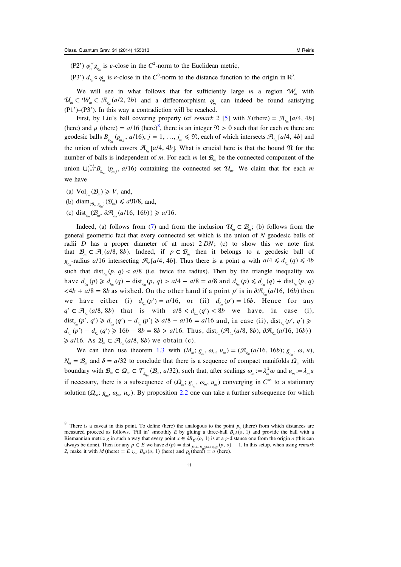(P2')  $\varphi_m^* g_{r_m}$  is  $\varepsilon$ -close in the  $C^2$ -norm to the Euclidean metric,

(P3<sup>'</sup>)  $d_{r_m} \circ \varphi_m$  is  $\varepsilon$ -close in the  $C^0$ -norm to the distance function to the origin in  $\mathbb{R}^3$ .

We will see in what follows that for sufficiently large  $m$  a region  $W_m$  with  $\mathcal{U}_m \subset \mathcal{W}_m \subset \mathcal{A}_{r_m}(a/2, 2b)$  and a diffeomorphism  $\varphi_m$  can indeed be found satisfying (P1')–(P3'). In this way a contradiction will be reached.

First, by Liu's ball covering property (cf *remark* 2 [[5\]](#page-17-0) with  $S$  (there) =  $\mathcal{A}_{r_m}[a/4, 4b]$ (here) and  $\mu$  (there) =  $a/16$  (here)<sup>8</sup>, there is an integer  $\mathfrak{N} > 0$  such that for each *m* there are geodesic balls  $B_{g_{r_m}}(p_{m,j}, a/16)$ ,  $j = 1, ..., j_m \leq \mathfrak{N}$ , each of which intersects  $\mathcal{A}_{r_m}[a/4, 4b]$  and the union of which covers  $\mathcal{A}_{r_{n}}[a/4, 4b]$ . What is crucial here is that the bound  $\mathfrak{N}$  for the number of balls is independent of m. For each m let  $\mathcal{B}_{m}$  be the connected component of the *union* ∪ $j=1 \nvert B_{g_{r_m}}(p_{m,j}, a/16)$  $\mathcal{L}_{m}$  ( $p_{m,j}$ , *al* 16) containing the connected set  $\mathcal{U}_m$ . We claim that for each *m* we have

- (a)  $Vol_{r_m}(\mathcal{B}_m) \geq V$ , and,
- (b) diam<sub> $(\mathcal{B}_{m}, \mathcal{B}_{r_m})$  ( $\mathcal{B}_{m}$ )  $\le a$   $\mathfrak{N}/8$ , and,</sub>
- (c) dist<sub>r</sub>  $(B_m, \partial \mathcal{A}_r(a/16, 16b)) \ge a/16$ .

Indeed, (a) follows from ([7\)](#page-10-0) and from the inclusion  $\mathcal{U}_m \subset \mathcal{B}_m$ ; (b) follows from the general geometric fact that every connected set which is the union of N geodesic balls of radii D has a proper diameter of at most 2 DN; (c) to show this we note first that  $\mathcal{B}_m \subset \mathcal{A}_r(a/8, 8b)$ . Indeed, if  $p \in \mathcal{B}_m$  then it belongs to a geodesic ball of  $g_{r_m}$ -radius *a*/16 intersecting  $\mathcal{A}_r$  [*a*/4, 4*b*]. Thus there is a point *q* with  $a/4 \le d_{r_m}(q) \le 4b$ such that dist<sub> $r_m(p, q)$  < a/8 (i.e. twice the radius). Then by the triangle inequality we</sub>  $h$ ave  $d_{r_m}(p) \ge d_{r_m}(q) - \text{dist}_{r_m}(p, q) > a/4 - a/8 = a/8$  and  $d_{r_m}(p) ≤ d_{r_m}(q) + \text{dist}_{r_m}(p, q)$  $\langle 4b + a/8 = 8b$  as wished. On the other hand if a point *p'* is in  $\partial \mathcal{A}_{r}(a/16, 16b)$  then we have either (i)  $d_{r_m}(p') = a/16$ , or (ii)  $d_{r_m}(p') = 16b$ . Hence for any  $q' \in \mathcal{A}_{r}(a/8, 8b)$  that is with  $a/8 < d_{r}(q') < 8b$  we have, in case (i), dist<sub>r<sub>n</sub></sub> $(p', q') \ge d_{r_m}(q') - d_{r_m}(p') \ge a/8 - a/16 = a/16$  and, in case (ii), dist<sub>r<sub>n</sub> $(p', q') \ge a/8 - a/16 = a/16$ </sub>  $d_{r_m}(p') - d_{r_m}(q') \geq 16b - 8b = 8b > a/16$ . Thus, dist<sub> $r_m$ </sub> $(\mathcal{A}_{r_m}(a/8, 8b), \partial \mathcal{A}_{r_m}(a/16, 16b))$  $\geq a/16$ . As  $\mathcal{B}_m \subset \mathcal{A}_{r_m}(a/8, 8b)$  we obtain (c).

We can then use theorem [1.3](#page-7-0) with  $(M_m; g_m, \omega_m, u_m) = (\mathcal{A}_{r_m}(a/16, 16b); g_{r_m}, \omega, u)$ ,  $N_m = B_m$  and  $\delta = a/32$  to conclude that there is a sequence of compact manifolds  $\Omega_m$  with boundary with  $\mathcal{B}_m \subset \Omega_m \subset \mathcal{T}_{s_m}(\mathcal{B}_m, a/32)$ , such that, after scalings  $\omega_m := \lambda_m^2 \omega$  and  $u_m := \lambda_m u$ if necessary, there is a subsequence of  $(Q_m; g_m, \omega_m, u_m)$  converging in  $C^{\infty}$  to a stationary solution ( $\Omega_{\infty}$ ;  $g_{\infty}$ ,  $\omega_{\infty}$ ,  $u_{\infty}$ ). By proposition [2.2](#page-8-0) one can take a further subsequence for which

<sup>&</sup>lt;sup>8</sup> There is a caveat in this point. To define (here) the analogous to the point  $p_0$  (there) from which distances are measured proceed as follows. 'Fill in' smoothly E by gluing a three-ball  $B_{\mathbb{R}^3}(o, 1)$  and provide the ball with a Riemannian metric g in such a way that every point  $x \in \partial B_{\mathbb{R}^3}(o, 1)$  is at a g-distance one from the origin o (this can always be done). Then for any  $p \in E$  we have  $d(p) = \text{dist}_{(E \cup \mathcal{B}_{R^3}(a,1)), g)}(p, o) - 1$ . In this setup, when using *remark* 2, make it with *M* (there) =  $E \cup B_{\mathbb{R}^3}(o, 1)$  (here) and  $p_0$  (there) =  $o$  (here).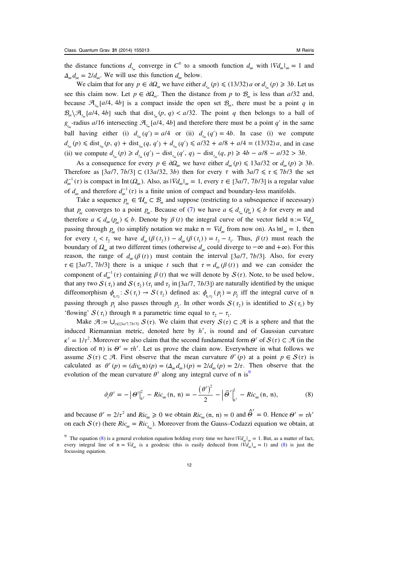the distance functions  $d_{r_m}$  converge in  $C^0$  to a smooth function  $d_{\infty}$  with  $|\nabla d_{\infty}|_{\infty} = 1$  and  $\Delta_{\infty} d_{\infty} = 2/d_{\infty}$ . We will use this function  $d_{\infty}$  below.

We claim that for any  $p \in \partial \Omega_m$  we have either  $d_{r_m}(p) \leq (13/32) a$  or  $d_{r_m}(p) \geq 3b$ . Let us see this claim now. Let  $p \in \partial \Omega_m$ . Then the distance from p to  $\mathcal{B}_m$  is less than  $a/32$  and, because  $\mathcal{A}_r$  [a/4, 4b] is a compact inside the open set  $\mathcal{B}_m$ , there must be a point q in  $\mathcal{B}_m \setminus \mathcal{A}_{r_m}[a/4, 4b]$  such that dist<sub> $r_m(p, q) < a/32$ . The point q then belongs to a ball of</sub>  $g_{r_m}$ -radius *a*/16 intersecting  $\mathcal{A}_{r_m}[a/4, 4b]$  and therefore there must be a point *q'* in the same ball having either (i)  $d_{r_m}(q') = a/4$  or (ii)  $d_{r_m}(q') = 4b$ . In case (i) we compute  $d_{r_m}(p) \leq \text{dist}_{r_m}(p, q) + \text{dist}_{r_m}(q, q') + d_{r_m}(q') \leq a/32 + a/8 + a/4 = (13/32)a$ , and in case (ii) we compute  $d_{r_m}(p) \ge d_{r_m}(q') - \text{dist}_{r_m}(q', q) - \text{dist}_{r_m}(q, p) \ge 4b - a/8 - a/32 > 3b$ .

As a consequence for every  $p \in \partial \Omega_{\infty}$  we have either  $d_{\infty}(p) \leq 13a/32$  or  $d_{\infty}(p) \geq 3b$ . Therefore as  $[3a/7, 7b/3] \subset (13a/32, 3b)$  then for every  $\tau$  with  $3a/7 \le \tau \le 7b/3$  the set  $d_{\infty}^{-1}(\tau)$  is compact in Int  $(\Omega_{\infty})$ . Also, as  $|\nabla d_{\infty}|_{\infty} = 1$ , every  $\tau \in [3a/7, 7b/3]$  is a regular value of  $d_{\infty}$  and therefore  $d_{\infty}^{-1}(\tau)$  is a finite union of compact and boundary-less manifolds.

Take a sequence  $p_m \in \mathcal{U}_m \subset \mathcal{B}_m$  and suppose (restricting to a subsequence if necessary) that  $p_m$  converges to a point  $p_\infty$ . Because of [\(7](#page-10-0)) we have  $a \leq d_{r_m}(p_m) \leq b$  for every m and therefore  $a \leq d_{\infty}(p_{\infty}) \leq b$ . Denote by  $\beta(t)$  the integral curve of the vector field  $n := \nabla d_{\infty}$ passing through  $p_{\infty}$  (to simplify notation we make  $n = \nabla d_{\infty}$  from now on). As  $|n|_{\infty} = 1$ , then for every  $t_1 < t_2$  we have  $d_{\infty}(\beta(t_1)) - d_{\infty}(\beta(t_1)) = t_2 - t_1$ . Thus,  $\beta(t)$  must reach the boundary of  $\Omega_{\infty}$  at two different times (otherwise  $d_{\infty}$  could diverge to  $-\infty$  and  $+\infty$ ). For this reason, the range of  $d_{\infty}(\beta(t))$  must contain the interval [3*a/7*, 7*b/3*]. Also, for every  $\tau \in [3a/7, 7b/3]$  there is a unique t such that  $\tau = d_{\infty}(\beta(t))$  and we can consider the component of  $d_{\infty}^{-1}(\tau)$  containing  $\beta(t)$  that we will denote by  $S(\tau)$ . Note, to be used below, that any two  $S(\tau_1)$  and  $S(\tau_2)$  ( $\tau_1$  and  $\tau_2$  in [3*al*], 7*b*/3]) are naturally identified by the unique diffeomorphism  $\phi_{\tau_1, \tau_2}$ :  $S(\tau_1) \to S(\tau_2)$  defined as:  $\phi_{\tau_1, \tau_2}(p_1) = p_2$  iff the integral curve of n passing through  $p_1$  also passes through  $p_2$ . In other words  $S(\tau_2)$  is identified to  $S(\tau_1)$  by 'flowing'  $S(\tau_1)$  through n a parametric time equal to  $\tau_2 - \tau_1$ .

Make  $\mathcal{A} := \bigcup_{\tau \in [3a/7,7b/3]} S(\tau)$ . We claim that every  $S(\tau) \subset \mathcal{A}$  is a sphere and that the induced Riemannian metric, denoted here by  $h^{\tau}$ , is round and of Gaussian curvature  $\kappa^{\tau} = 1/\tau^2$ . Moreover we also claim that the second fundamental form  $\Theta^{\tau}$  of  $S(\tau) \subset \mathcal{A}$  (in the direction of  $\mathfrak{n}$ ) is  $\Theta^{\tau} = \tau h^{\tau}$ . Let us prove the claim now. Everywhere in what follows we assume  $S(\tau) \subset \mathcal{A}$ . First observe that the mean curvature  $\theta^{\tau}(p)$  at a point  $p \in S(\tau)$  is calculated as  $\theta^{\tau}(p) = (div_{\infty} \mathfrak{n})(p) = (\Delta_{\infty} d_{\infty})(p) = 2/d_{\infty}(p) = 2/\tau$ . Then observe that the evolution of the mean curvature  $\theta^{\tau}$  along any integral curve of  $\pi$  is<sup>9</sup>

$$
\partial_{\tau}\theta^{\tau} = -\left|\theta^{\tau}\right|_{h^{\tau}}^{2} - Ric_{\infty}(\mathfrak{n}, \mathfrak{n}) = -\frac{\left(\theta^{\tau}\right)^{2}}{2} - \left|\widehat{\theta}^{\tau}\right|_{h^{\tau}}^{2} - Ric_{\infty}(\mathfrak{n}, \mathfrak{n}), \tag{8}
$$

and because  $\theta^{\tau} = 2/\tau^2$  and  $Ric_{\infty} \ge 0$  we obtain  $Ric_{\infty}(\mathfrak{n}, \mathfrak{n}) = 0$  and  $\hat{\theta}^{\tau} = 0$ . Hence  $\theta^{\tau} = \tau h^{\tau}$ on each  $S(\tau)$  (here  $Ric_{\infty} = Ric_{\tau}$ ). Moreover from the Gauss–Codazzi equation we obtain, at

<sup>&</sup>lt;sup>9</sup> The equation (8) is a general evolution equation holding every time we have  $|\nabla d_{\infty}|_{\infty} = 1$ . But, as a matter of fact, every integral line of  $n = \nabla d_{\infty}$  is a geodesic (this is easily deduced from  $|\nabla d_{\infty}|_{\infty} = 1$ ) and (8) is just the focussing equation.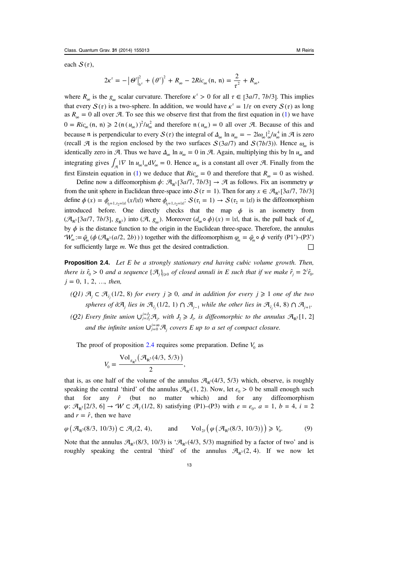<span id="page-13-0"></span>each  $S(\tau)$ ,

$$
2\kappa^{\tau} = -\left|\theta^{\tau}\right|_{h^{\tau}}^2 + \left(\theta^{\tau}\right)^2 + R_{\infty} - 2Ric_{\infty}(\mathfrak{n}, \mathfrak{n}) = \frac{2}{\tau^2} + R_{\infty},
$$

where  $R_{\infty}$  is the  $g_{\infty}$  scalar curvature. Therefore  $\kappa^r > 0$  for all  $\tau \in [3a/7, 7b/3]$ . This implies that every  $S(\tau)$  is a two-sphere. In addition, we would have  $\kappa^{\tau} = 1/\tau$  on every  $S(\tau)$  as long as  $R_{\infty} = 0$  all over  $\mathcal{A}$ . To see this we observe first that from the first equation in [\(1](#page-1-0)) we have  $0 = Ric_{\infty}(\mathfrak{n}, \mathfrak{n}) \geq 2(\mathfrak{n}(u_{\infty}))^2/u_{\infty}^2$  and therefore  $\mathfrak{n}(u_{\infty}) = 0$  all over A. Because of this and because n is perpendicular to every  $S(\tau)$  the integral of  $\Delta_{\infty} \ln u_{\infty} = -2|\omega_{\infty}|_{\infty}^2/u_{\infty}^4$  in  $\mathcal{A}$  is zero (recall  $\mathcal A$  is the region enclosed by the two surfaces  $S(3a/7)$  and  $S(7b/3)$ ). Hence  $\omega_{\infty}$  is identically zero in  $\mathcal A$ . Thus we have  $\Delta_{\infty}$  ln  $u_{\infty} = 0$  in  $\mathcal A$ . Again, multiplying this by ln  $u_{\infty}$  and integrating gives  $\int_{\mathcal{A}} |\nabla \ln u_{\infty}|_{\infty} dV_{\infty} = 0$ . Hence  $u_{\infty}$  is a constant all over A. Finally from the first Einstein equation in [\(1](#page-1-0)) we deduce that  $Ric_{\infty} = 0$  and therefore that  $R_{\infty} = 0$  as wished.

Define now a diffeomorphism  $\phi$ :  $\mathcal{A}_{\mathbb{R}^3}[3a/7, 7b/3] \rightarrow \mathcal{A}$  as follows. Fix an isommetry  $\psi$ from the unit sphere in Euclidean three-space into  $S(\tau = 1)$ . Then for any  $x \in \mathcal{A}_{\mathbb{R}^3}[3a/7, 7b/3]$ define  $\phi(x) = \phi_{\eta=1, \tau_2 = \text{lat}}(x/\vert x \vert)$  where  $\phi_{\eta=1, \tau_2 = \text{lat}}$ :  $S(\tau_1 = 1) \rightarrow S(\tau_2 = \vert x \vert)$  is the diffeomorphism introduced before. One directly checks that the map  $\phi$  is an isometry from  $({\mathcal{A}}_{\mathbb{R}^3}[3a/7, 7b/3], g_{\mathbb{R}^3}$  into  $({\mathcal{A}}, g_{\infty})$ . Moreover  $(d_{\infty} \circ \phi)(x) = |x|$ , that is, the pull back of  $d_{\infty}$ by *ϕ* is the distance function to the origin in the Euclidean three-space. Therefore, the annulus  $W_m := \tilde{\varphi}_m (\phi (\mathcal{A}_{\mathbb{R}^3}(a/2, 2b)))$  together with the diffeomorphism  $\varphi_m = \tilde{\varphi}_m \circ \phi$  verify (P1')–(P3') for sufficiently large m. We thus get the desired contradiction.  $\Box$ 

**Proposition 2.4.** Let  $E$  be a strongly stationary end having cubic volume growth. Then, there is  $\hat{r}_0 > 0$  and a sequence  $\{\mathcal{A}_j\}_{j\geqslant 0}$  of closed annuli in E such that if we make  $\hat{r}_j = 2^j \hat{r}_{0}$ ,  $j = 0, 1, 2, \ldots$ , then,

- (Q1)  $\mathcal{A}_i \subset \mathcal{A}_{\varepsilon}(1/2, 8)$  *for every*  $j \geq 0$ *, and in addition for every*  $j \geq 1$  *one of the two* spheres of ∂ $\mathcal{A}_i$  lies in  $\mathcal{A}_{\hat{r}_i}(1/2, 1) \cap \mathcal{A}_{i-1}$  while the other lies in  $\mathcal{A}_{\hat{r}_i}(4, 8) \cap \mathcal{A}_{i+1}$ .
- (Q2) Every finite union  $\bigcup_{j=I_1}^{j=I_2} A_j$ , with  $J_2 \geq J_1$ , is diffeomorphic to the annulus  $\mathcal{A}_{\mathbb{R}^3}[1, 2]$ and the infinite union  $\bigcup_{j=0}^{j=\infty} \mathcal{A}_j$  covers E up to a set of compact closure.

The proof of proposition 2.4 requires some preparation. Define  $V_0$  as

$$
V_0 = \frac{\text{Vol}_{g_{\mathbb{R}^3}}(\mathcal{A}_{\mathbb{R}^3}(4/3, 5/3))}{2},
$$

that is, as one half of the volume of the annulus  $\mathcal{A}_{p^3}(4/3, 5/3)$  which, observe, is roughly speaking the central 'third' of the annulus  $\mathcal{A}_{\mathbb{R}^3}(1, 2)$ . Now, let  $\varepsilon_0 > 0$  be small enough such that for any  $\hat{r}$  (but no matter which) and for any diffeomorphism  $\varphi$ :  $\mathcal{A}_{\mathbb{R}^3}[2/3, 6] \to W \subset \mathcal{A}_{\hat{r}}(1/2, 8)$  satisfying (P1)–(P3) with  $\varepsilon = \varepsilon_0$ ,  $a = 1$ ,  $b = 4$ ,  $i = 2$ and  $r = \hat{r}$ , then we have

$$
\varphi\left(\mathcal{A}_{\mathbb{R}^3}(8/3, 10/3)\right) \subset \mathcal{A}_{\hat{r}}(2, 4), \quad \text{and} \quad \text{Vol}_{2\hat{r}}\left(\varphi\left(\mathcal{A}_{\mathbb{R}^3}(8/3, 10/3)\right)\right) \geq V_0. \tag{9}
$$

Note that the annulus  $\mathcal{A}_{\mathbb{R}^3}(8/3, 10/3)$  is ' $\mathcal{A}_{\mathbb{R}^3}(4/3, 5/3)$  magnified by a factor of two' and is roughly speaking the central 'third' of the annulus  $\mathcal{A}_{\mathbb{R}^3}(2, 4)$ . If we now let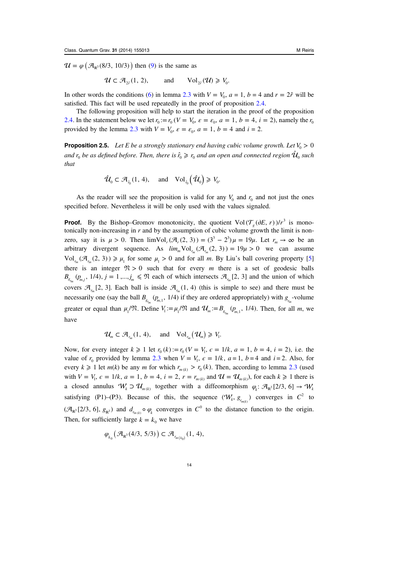<span id="page-14-0"></span> $\mathcal{U} = \varphi \big( \mathcal{A}_{\mathbb{R}^3} (8/3, 10/3) \big)$  then ([9\)](#page-13-0) is the same as

 $\mathcal{U} \subset \mathcal{A}_{2\hat{r}}(1, 2),$  and  $Vol_{2\hat{r}}(\mathcal{U}) \geq V_0$ .

In other words the conditions ([6\)](#page-10-0) in lemma [2.3](#page-10-0) with  $V = V_0$ ,  $a = 1$ ,  $b = 4$  and  $r = 2\hat{r}$  will be satisfied. This fact will be used repeatedly in the proof of proposition [2.4.](#page-13-0)

The following proposition will help to start the iteration in the proof of the proposition [2.4](#page-13-0). In the statement below we let  $r_0 := r_0$  ( $V = V_0$ ,  $\varepsilon = \varepsilon_0$ ,  $a = 1$ ,  $b = 4$ ,  $i = 2$ ), namely the  $r_0$ provided by the lemma [2.3](#page-10-0) with  $V = V_0$ ,  $\varepsilon = \varepsilon_0$ ,  $a = 1$ ,  $b = 4$  and  $i = 2$ .

**Proposition 2.5.** Let E be a strongly stationary end having cubic volume growth. Let  $V_0 > 0$ and  $r_0$  be as defined before. Then, there is  $\hat{r}_0 \ge r_0$  and an open and connected region  $\hat{\mathcal{U}}_0$  such that

$$
\hat{\mathcal{U}}_0 \subset \mathcal{A}_{\hat{r}_0}(1, 4), \quad \text{and} \quad \text{Vol}_{\hat{r}_0}(\hat{\mathcal{U}}_0) \geq V_0.
$$

As the reader will see the proposition is valid for any  $V_0$  and  $r_0$  and not just the ones specified before. Nevertheless it will be only used with the values signaled.

**Proof.** By the Bishop–Gromov monotonicity, the quotient  $Vol(\mathcal{T}_{g}(\partial E, r))/r^3$  is monotonically non-increasing in  $r$  and by the assumption of cubic volume growth the limit is nonzero, say it is  $\mu > 0$ . Then  $\lim Vol_r(\mathcal{A}_r(2, 3)) = (3^3 - 2^3)\mu = 19\mu$ . Let  $r_m \to \infty$  be an arbitrary divergent sequence. As  $\lim_{m}$  Vol<sub> $r_m$ </sub>  $(\mathcal{A}_{r_m}(2, 3)) = 19\mu > 0$  we can assume Vol<sub>r</sub>  $({\mathcal{A}}_r (2, 3)) \ge \mu_1$  for some  $\mu_1 > 0$  and for all m. By Liu's ball covering property [\[5](#page-17-0)] there is an integer  $\mathfrak{N} > 0$  such that for every m there is a set of geodesic balls  $B_{g_{r_m}}(p_{m,j}, 1/4), j = 1, ..., j_m \leq \mathfrak{N}$  each of which intersects  $\mathcal{A}_{r_m}[2, 3]$  and the union of which covers  $\mathcal{A}_{r_m}$  [2, 3]. Each ball is inside  $\mathcal{A}_{r_m}$  (1, 4) (this is simple to see) and there must be necessarily one (say the ball  $B_{s_{r_m}}(p_{m,1}, 1/4)$  if they are ordered appropriately) with  $g_{r_m}$ -volume greater or equal than  $\mu_1/\mathfrak{N}$ . Define  $V_1 := \mu_1/\mathfrak{N}$  and  $\mathcal{U}_m := B_{g_{r_m}}(p_{m,1}, 1/4)$ . Then, for all m, we have

$$
\mathcal{U}_m \subset \mathcal{A}_{r_m}(1, 4), \quad \text{and} \quad \text{Vol}_{r_m}(\mathcal{U}_m) \geq V_1.
$$

Now, for every integer  $k \ge 1$  let  $r_0(k) := r_0(V = V_1, \epsilon = 1/k, a = 1, b = 4, i = 2)$ , i.e. the value of  $r_0$  provided by lemma [2.3](#page-10-0) when  $V = V_1$ ,  $\epsilon = 1/k$ ,  $a = 1$ ,  $b = 4$  and  $i = 2$ . Also, for every  $k \ge 1$  let  $m(k)$  be any m for which  $r_{m(k)} > r_0(k)$ . Then, according to lemma [2.3](#page-10-0) (used with  $V = V_1$ ,  $\epsilon = 1/k$ ,  $a = 1$ ,  $b = 4$ ,  $i = 2$ ,  $r = r_{m(k)}$  and  $\mathcal{U} = \mathcal{U}_{m(k)}$ , for each  $k \ge 1$  there is a closed annulus  $W_k \supset \mathcal{U}_{m(k)}$  together with a diffeomorphism  $\varphi_k: \mathcal{A}_{\mathbb{R}^3}[2/3, 6] \to W_k$ satisfying (P1)–(P3). Because of this, the sequence  $(W_k, g_{r_{m(k)}})$  converges in  $C^2$  to  $({\mathcal{A}}_{\mathbb{R}^3}[2/3, 6], g_{\mathbb{R}^3})$  and  $d_{r_{\text{min}}} \circ \varphi_k$  converges in  $C^0$  to the distance function to the origin. Then, for sufficiently large  $k = k_0$  we have

$$
\varphi_{k_0}(\mathcal{A}_{\mathbb{R}^3}(4/3, 5/3)) \subset \mathcal{A}_{r_{m(k_0)}}(1, 4),
$$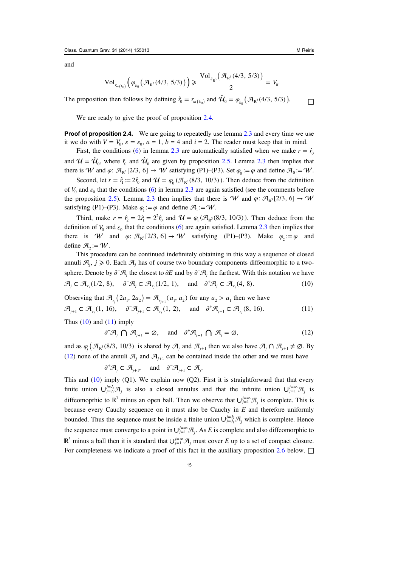and

$$
\mathrm{Vol}_{r_{m(k_0)}}\Big(\varphi_{k_0}\big(\mathcal{A}_{\mathbb{R}^3}(4/3, 5/3)\big)\Big) \geqslant \frac{\mathrm{Vol}_{g_{\mathbb{R}^3}}(\mathcal{A}_{\mathbb{R}^3}(4/3, 5/3))}{2}=V_0.
$$

The proposition then follows by defining  $\hat{r}_0 = r_{m(k_0)}$  and  $\hat{\mathcal{U}}_0 = \varphi_{k_0}(\mathcal{A}_{\mathbb{R}^3}(4/3, 5/3))$ .

We are ready to give the proof of proposition [2.4.](#page-13-0)

**Proof of proposition 2.4.** We are going to repeatedly use lemma [2.3](#page-10-0) and every time we use it we do with  $V = V_0$ ,  $\varepsilon = \varepsilon_0$ ,  $a = 1$ ,  $b = 4$  and  $i = 2$ . The reader must keep that in mind.

First, the conditions ([6\)](#page-10-0) in lemma [2.3](#page-10-0) are automatically satisfied when we make  $r = \hat{r}_0$ and  $\mathcal{U} = \hat{\mathcal{U}}_0$ , where  $\hat{r}_0$  and  $\hat{\mathcal{U}}_0$  are given by proposition [2.5.](#page-14-0) Lemma [2.3](#page-10-0) then implies that there is W and  $\varphi$ :  $\mathcal{A}_{\mathbb{R}^3}[2/3, 6] \to W$  satisfying (P1)–(P3). Set  $\varphi_0 := \varphi$  and define  $\mathcal{A}_0 := W$ .

Second, let  $r = \hat{r}_1 = 2\hat{r}_0$  and  $\mathcal{U} = \varphi_0 (\mathcal{A}_{R^3}(8/3, 10/3))$ . Then deduce from the definition of  $V_0$  and  $\varepsilon_0$  that the conditions [\(6](#page-10-0)) in lemma [2.3](#page-10-0) are again satisfied (see the comments before the proposition [2.5\)](#page-14-0). Lemma [2.3](#page-10-0) then implies that there is  $W$  and  $\varphi$ :  $\mathcal{A}_{\mathbb{R}^3}[2/3, 6] \to W$ satisfying (P1)–(P3). Make  $\varphi_1 := \varphi$  and define  $\mathcal{A}_1 := W$ .

Third, make  $r = \hat{r}_2 = 2\hat{r}_1 = 2^2\hat{r}_0$  and  $\mathcal{U} = \varphi_1(\mathcal{A}_{\mathbb{R}^3}(8/3, 10/3))$ . Then deduce from the definition of  $V_0$  and  $\varepsilon_0$  that the conditions ([6\)](#page-10-0) are again satisfied. Lemma [2.3](#page-10-0) then implies that there is *W* and  $\varphi$ :  $\mathcal{A}_{\mathbb{R}^3}[2/3, 6] \to W$  satisfying (P1)–(P3). Make  $\varphi$  := $\varphi$  and define  $\mathcal{A}_2 := \mathcal{W}$ .

This procedure can be continued indefinitely obtaining in this way a sequence of closed annuli  $\mathcal{A}_j$ ,  $j \geq 0$ . Each  $\mathcal{A}_j$  has of course two boundary components diffeomorphic to a twosphere. Denote by  $\partial^-\mathcal{A}_j$  the closest to  $\partial E$  and by  $\partial^+\mathcal{A}_j$  the farthest. With this notation we have  $\mathcal{A}_i \subset \mathcal{A}_{r_i}(1/2, 8), \quad \partial^- \mathcal{A}_i \subset \mathcal{A}_{r_i}(1/2, 1), \quad \text{and} \quad \partial^+ \mathcal{A}_i \subset \mathcal{A}_{r_i}(4, 8).$  (10)

Observing that  $\mathcal{A}_{r_1}(2a_1, 2a_2) = \mathcal{A}_{r_{i+1}}(a_1, a_2)$  for any  $a_2 > a_1$  then we have

$$
\mathcal{A}_{j+1} \subset \mathcal{A}_{r_j}(1, 16), \quad \partial^- \mathcal{A}_{j+1} \subset \mathcal{A}_{r_j}(1, 2), \quad \text{and} \quad \partial^+ \mathcal{A}_{j+1} \subset \mathcal{A}_{r_j}(8, 16). \tag{11}
$$

Thus  $(10)$  and  $(11)$  imply

$$
\partial^-\mathcal{A}_j \bigcap \mathcal{A}_{j+1} = \emptyset, \quad \text{and} \quad \partial^+\mathcal{A}_{j+1} \bigcap \mathcal{A}_j = \emptyset,
$$
\n(12)

and as  $\varphi_i$  ( $\mathcal{A}_{\mathbb{R}^3}(8/3, 10/3)$  is shared by  $\mathcal{A}_i$  and  $\mathcal{A}_{i+1}$  then we also have  $\mathcal{A}_i \cap \mathcal{A}_{i+1} \neq \emptyset$ . By (12) none of the annuli  $\mathcal{A}_i$  and  $\mathcal{A}_{i+1}$  can be contained inside the other and we must have

$$
\partial^+ \mathcal{A}_j \subset \mathcal{A}_{j+1}
$$
, and  $\partial^- \mathcal{A}_{j+1} \subset \mathcal{A}_j$ .

This and  $(10)$  imply  $(Q1)$ . We explain now  $(Q2)$ . First it is straightforward that that every finite union  $\bigcup_{j=1}^{j=1} \mathcal{A}_j$  is also a closed annulus and that the infinite union  $\bigcup_{j=1}^{j=\infty} \mathcal{A}_j$  is diffeomoprhic to  $\mathbb{R}^3$  minus an open ball. Then we observe that  $\bigcup_{j=1}^{j=\infty} \mathcal{A}_j$  is complete. This is because every Cauchy sequence on it must also be Cauchy in  $E$  and therefore uniformly bounded. Thus the sequence must be inside a finite union  $\bigcup_{j=J_1}^{j=J_2} \mathcal{A}_j$  which is complete. Hence the sequence must converge to a point in  $\bigcup_{j=1}^{j=\infty} A_j$ . As E is complete and also diffeomorphic to  $\mathbb{R}^3$  minus a ball then it is standard that  $\bigcup_{j=1}^{j=\infty} \mathcal{A}_j$  must cover E up to a set of compact closure. For completeness we indicate a proof of this fact in the auxiliary proposition [2.6](#page-16-0) below.  $\Box$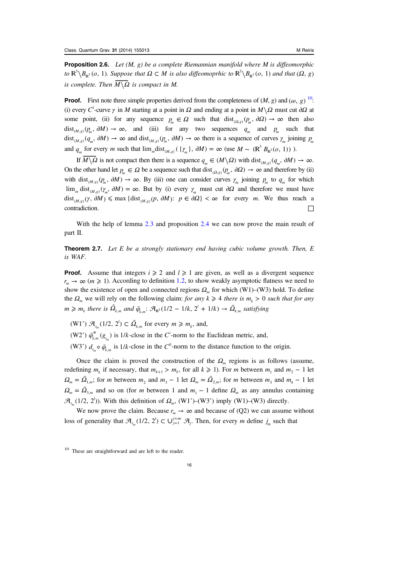<span id="page-16-0"></span>**Proposition 2.6.** Let  $(M, g)$  be a complete Riemannian manifold where M is diffeomorphic  $to \mathbb{R}^3 \backslash B_{\mathbb{R}^3}$  (*o*, 1). Suppose that  $\Omega \subset M$  is also diffeomoprhic to  $\mathbb{R}^3 \backslash B_{\mathbb{R}^3}$  (*o*, 1) and that ( $\Omega$ , *g*)  $i\sigma$  **is**  $\langle D_{\mathbb{R}^3}(O, 1)$ *.* Suppose that  $\mathbf{S} \subset M$  is compact in M.

**Proof.** First note three simple properties derived from the completeness of  $(M, g)$  and  $(\omega, g)$  <sup>10</sup>: (i) every *C*<sup>1</sup>-curve *γ* in *M* starting at a point in *Ω* and ending at a point in  $M \setminus \Omega$  must cut  $\partial \Omega$  at some point, (ii) for any sequence  $p_m \in \Omega$  such that  $dist_{(\Omega, g)}(p_m, \partial \Omega) \to \infty$  then also  $dist_{(M,g)}(p_m, \partial M) \to \infty$ , and (iii) for any two sequences  $q_m$  and  $p_m$  such that  $dist_{(M,g)}(q_m, \partial M) \to \infty$  and  $dist_{(M,g)}(p_m, \partial M) \to \infty$  there is a sequence of curves  $\gamma_m$  joining  $p_m$ and  $q_m$  for every *m* such that  $\lim_m dist_{(M,g)}(\{\gamma_m\}, \partial M) = \infty$  (use  $M \sim (\mathbb{R}^3 B_{\mathbb{R}^3}(o, 1))$ ).

If  $\overline{M \setminus \Omega}$  is not compact then there is a sequence  $q_m \in (M \setminus \Omega)$  with dist  $\overline{M \setminus \Omega}$  *g<sub>m</sub>*,  $\partial M$   $\rightarrow \infty$ . On the other hand let  $p_m \in \Omega$  be a sequence such that  $dist_{(\Omega, g)}(p_m, \partial \Omega) \to \infty$  and therefore by (ii) with dist<sub>(*M,g*)</sub>( $p_m$ ,  $\partial M$ )  $\rightarrow \infty$ . By (iii) one can consider curves  $\gamma_m$  joining  $p_m$  to  $q_m$  for which  $\lim_{m} \text{dist}_{(M,g)}(\gamma_m, \partial M) = \infty$ . But by (i) every  $\gamma_m$  must cut  $\partial \Omega$  and therefore we must have dist<sub>(*M,g*)</sub>( $\gamma$ ,  $\partial M$ )  $\leq$  max {dist<sub>(*M,g*)</sub>( $p$ ,  $\partial M$ ):  $p \in \partial \Omega$ }  $\lt \infty$  for every *m*. We thus reach a  $\Box$ contradiction.  $\Box$ 

With the help of lemma [2.3](#page-10-0) and proposition [2.4](#page-13-0) we can now prove the main result of part II.

**Theorem 2.7.** Let E be a strongly stationary end having cubic volume growth. Then, E is WAF.

**Proof.** Assume that integers  $i \ge 2$  and  $l \ge 1$  are given, as well as a divergent sequence  $r_m \to \infty$  ( $m \ge 1$ ). According to definition [1.2](#page-5-0), to show weakly asymptotic flatness we need to show the existence of open and connected regions  $\Omega_m$  for which (W1)–(W3) hold. To define the  $\Omega_m$  we will rely on the following claim: for any  $k \geq 4$  there is  $m_k > 0$  such that for any  $m \geq m_k$  there is  $\tilde{\Omega}_{k,m}$  and  $\tilde{\varphi}_{k,m}$ :  $\mathcal{A}_{\mathbb{R}^3}(1/2 - 1/k, 2^l + 1/k) \to \tilde{\Omega}_{k,m}$  satisfying

(W1')  $\mathcal{A}_{r_m}(1/2, 2^l) \subset \tilde{\Omega}_{k,m}$  for every  $m \geq m_k$ , and,

(W2')  $\tilde{\varphi}_{k,m}^*(g_{r_m})$  is 1/*k*-close in the *C*<sup>*i*</sup>-norm to the Euclidean metric, and,

(W3')  $d_{r_m} \circ \tilde{\varphi}_{k,m}$  is 1/*k*-close in the  $C^0$ -norm to the distance function to the origin.

Once the claim is proved the construction of the  $\Omega_m$  regions is as follows (assume, redefining  $m_k$  if necessary, that  $m_{k+1} > m_k$ , for all  $k \ge 1$ ). For m between  $m_1$  and  $m_2 - 1$  let  $\Omega_m = \tilde{\Omega}_{1,m}$ ; for *m* between  $m_2$  and  $m_3 - 1$  let  $\Omega_m = \tilde{\Omega}_{2,m}$ ; for *m* between  $m_3$  and  $m_4 - 1$  let  $\Omega_m = \tilde{\Omega}_{3,m}$  and so on (for *m* between 1 and  $m_1 - 1$  define  $\Omega_m$  as any annulus containing  $\mathcal{A}_{r_m}(1/2, 2^l)$ ). With this definition of  $\Omega_m$ , (W1')–(W3') imply (W1)–(W3) directly.

We now prove the claim. Because  $r_m \to \infty$  and because of (Q2) we can assume without loss of generality that  $\mathcal{A}_{r_m}(1/2, 2^l) \subset \bigcup_{j=1}^{j=\infty} \mathcal{A}_j$ . Then, for every *m* define  $j_m$  such that

<sup>10</sup> These are straightforward and are left to the reader.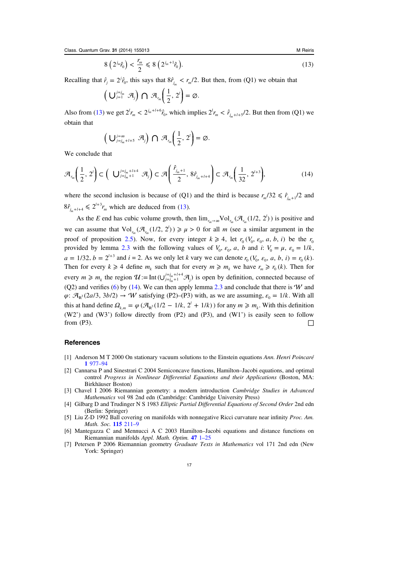$$
8\left(2^{j_m}\hat{r}_0\right) < \frac{r_m}{2} \leq 8\left(2^{j_m+1}\hat{r}_0\right). \tag{13}
$$

<span id="page-17-0"></span>Recalling that  $\hat{r}_j = 2^j \hat{r}_0$ , this says that  $8 \hat{r}_{j_m} < r_m/2$ . But then, from (Q1) we obtain that

$$
\left(\bigcup_{j=1}^{j=j_m} \mathcal{A}_j\right) \bigcap \mathcal{A}_{r_m}\left(\frac{1}{2}, 2^i\right) = \emptyset.
$$

Also from [\(13\)](#page-16-0) we get  $2^l r_m < 2^{j_m + l + 6} \hat{r}_0$ , which implies  $2^l r_m < \hat{r}_{j_m + l + 5}/2$ . But then from (Q1) we obtain that

$$
\left(\bigcup_{j=j_m+1+5}^{j=\infty} \mathcal{A}_j\right) \bigcap \mathcal{A}_{r_m}\left(\frac{1}{2},2^l\right) = \varnothing.
$$

We conclude that

$$
\mathcal{A}_{r_m}\left(\frac{1}{2},2^{l}\right)\subset\left(\bigcup_{j=j_m+1}^{j=j_m+l+4}\mathcal{A}_{j}\right)\subset\mathcal{A}\left(\frac{\hat{r}_{j_m+1}}{2},8\hat{r}_{j_m+l+4}\right)\subset\mathcal{A}_{r_m}\left(\frac{1}{32},2^{l+3}\right),\tag{14}
$$

where the second inclusion is because of (Q1) and the third is because  $r_m/32 \leq \hat{r}_{i+1}/2$  and  $8\hat{r}_{j_m+l+4} \leq 2^{l+3}r_m$  which are deduced from [\(13](#page-16-0)).

As the E end has cubic volume growth, then  $\lim_{r_m \to \infty} \text{Vol}_{r_m}(\mathcal{A}_{r_m}(1/2, 2^l))$  is positive and we can assume that  $Vol_{r_m}(\mathcal{A}_{r_m}(1/2, 2^l)) \ge \mu > 0$  for all *m* (see a similar argument in the proof of proposition [2.5\)](#page-14-0). Now, for every integer  $k \ge 4$ , let  $r_0$  ( $V_0$ ,  $\varepsilon_0$ , a, b, i) be the  $r_0$ provided by lemma [2.3](#page-10-0) with the following values of  $V_0$ ,  $\varepsilon_0$ , *a*, *b* and *i*:  $V_0 = \mu$ ,  $\varepsilon_0 = 1/k$ ,  $a = 1/32$ ,  $b = 2^{l+3}$  and  $i = 2$ . As we only let k vary we can denote  $r_0$  ( $V_0$ ,  $\varepsilon_0$ ,  $a$ ,  $b$ ,  $i$ ) =  $r_0$  (k). Then for every  $k \ge 4$  define  $m_k$  such that for every  $m \ge m_k$  we have  $r_m \ge r_0(k)$ . Then for every  $m \ge m_k$  the region  $\mathcal{U} := \text{Int}(\bigcup_{j=j_m+1}^{j=j_m+l+4} \mathcal{A}_j)$  $\int_{m+1}^{m+1+4} \mathcal{A}_j$  is open by definition, connected because of (Q2) and verifies [\(6](#page-10-0)) by (14). We can then apply lemma  $2.3$  and conclude that there is  $W$  and  $\varphi$ :  $\mathcal{A}_{\mathbb{R}^3}(2a/3, 3b/2) \to W$  satisfying (P2)–(P3) with, as we are assuming,  $\varepsilon_0 = 1/k$ . With all this at hand define  $\Omega_{k,m} = \varphi \left( \mathcal{A}_{\mathbb{R}^3} (1/2 - 1/k, 2^l + 1/k) \right)$  for any  $m \geq m_k$ . With this definition  $(W2')$  and  $(W3')$  follow directly from  $(P2)$  and  $(P3)$ , and  $(W1')$  is easily seen to follow from (P3).  $\Box$ 

## References

- [1] Anderson M T 2000 On stationary vacuum solutions to the Einstein equations Ann. Henri Poincaré 1 [977](http://dx.doi.org/10.1007/PL00001021)–94
- [2] Cannarsa P and Sinestrari C 2004 Semiconcave functions, Hamilton–Jacobi equations, and optimal control Progress in Nonlinear Differential Equations and their Applications (Boston, MA: Birkhäuser Boston)
- [3] Chavel I 2006 Riemannian geometry: a modern introduction Cambridge Studies in Advanced Mathematics vol 98 2nd edn (Cambridge: Cambridge University Press)
- [4] Gilbarg D and Trudinger N S 1983 Elliptic Partial Differential Equations of Second Order 2nd edn (Berlin: Springer)
- [5] Liu Z-D 1992 Ball covering on manifolds with nonnegative Ricci curvature near infinity *Proc. Am.* Math. Soc. 115 [211](http://dx.doi.org/10.1090/S0002-9939-1992-1068127-7)–9
- [6] Mantegazza C and Mennucci A C 2003 Hamilton–Jacobi equations and distance functions on Riemannian manifolds Appl. Math. Optim. 47 1–[25](http://dx.doi.org/10.1007/s00245-002-0736-4)
- [7] Petersen P 2006 Riemannian geometry Graduate Texts in Mathematics vol 171 2nd edn (New York: Springer)